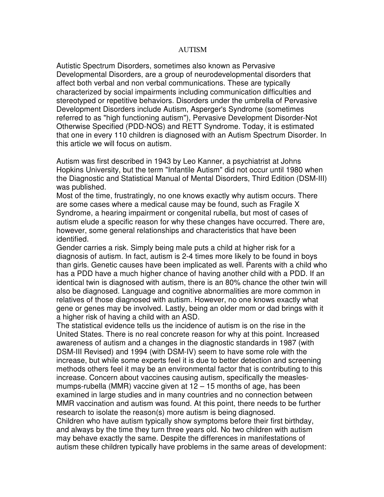## **AUTISM**

Autistic Spectrum Disorders, sometimes also known as Pervasive Developmental Disorders, are a group of neurodevelopmental disorders that affect both verbal and non verbal communications. These are typically characterized by social impairments including communication difficulties and stereotyped or repetitive behaviors. Disorders under the umbrella of Pervasive Development Disorders include Autism, Asperger's Syndrome (sometimes referred to as "high functioning autism"), Pervasive Development Disorder-Not Otherwise Specified (PDD-NOS) and RETT Syndrome. Today, it is estimated that one in every 110 children is diagnosed with an Autism Spectrum Disorder. In this article we will focus on autism.

Autism was first described in 1943 by Leo Kanner, a psychiatrist at Johns Hopkins University, but the term "Infantile Autism" did not occur until 1980 when the Diagnostic and Statistical Manual of Mental Disorders, Third Edition (DSM-III) was published.

Most of the time, frustratingly, no one knows exactly why autism occurs. There are some cases where a medical cause may be found, such as Fragile X Syndrome, a hearing impairment or congenital rubella, but most of cases of autism elude a specific reason for why these changes have occurred. There are, however, some general relationships and characteristics that have been identified.

Gender carries a risk. Simply being male puts a child at higher risk for a diagnosis of autism. In fact, autism is 2-4 times more likely to be found in boys than girls. Genetic causes have been implicated as well. Parents with a child who has a PDD have a much higher chance of having another child with a PDD. If an identical twin is diagnosed with autism, there is an 80% chance the other twin will also be diagnosed. Language and cognitive abnormalities are more common in relatives of those diagnosed with autism. However, no one knows exactly what gene or genes may be involved. Lastly, being an older mom or dad brings with it a higher risk of having a child with an ASD.

The statistical evidence tells us the incidence of autism is on the rise in the United States. There is no real concrete reason for why at this point. Increased awareness of autism and a changes in the diagnostic standards in 1987 (with DSM-III Revised) and 1994 (with DSM-IV) seem to have some role with the increase, but while some experts feel it is due to better detection and screening methods others feel it may be an environmental factor that is contributing to this increase. Concern about vaccines causing autism, specifically the measlesmumps-rubella (MMR) vaccine given at 12 – 15 months of age, has been examined in large studies and in many countries and no connection between MMR vaccination and autism was found. At this point, there needs to be further research to isolate the reason(s) more autism is being diagnosed. Children who have autism typically show symptoms before their first birthday, and always by the time they turn three years old. No two children with autism may behave exactly the same. Despite the differences in manifestations of autism these children typically have problems in the same areas of development: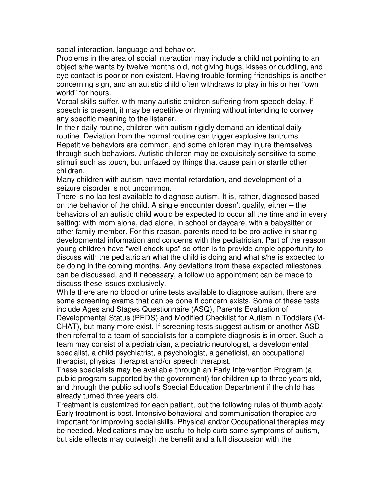social interaction, language and behavior.

Problems in the area of social interaction may include a child not pointing to an object s/he wants by twelve months old, not giving hugs, kisses or cuddling, and eye contact is poor or non-existent. Having trouble forming friendships is another concerning sign, and an autistic child often withdraws to play in his or her "own world" for hours.

Verbal skills suffer, with many autistic children suffering from speech delay. If speech is present, it may be repetitive or rhyming without intending to convey any specific meaning to the listener.

In their daily routine, children with autism rigidly demand an identical daily routine. Deviation from the normal routine can trigger explosive tantrums. Repetitive behaviors are common, and some children may injure themselves through such behaviors. Autistic children may be exquisitely sensitive to some stimuli such as touch, but unfazed by things that cause pain or startle other children.

Many children with autism have mental retardation, and development of a seizure disorder is not uncommon.

There is no lab test available to diagnose autism. It is, rather, diagnosed based on the behavior of the child. A single encounter doesn't qualify, either – the behaviors of an autistic child would be expected to occur all the time and in every setting: with mom alone, dad alone, in school or daycare, with a babysitter or other family member. For this reason, parents need to be pro-active in sharing developmental information and concerns with the pediatrician. Part of the reason young children have "well check-ups" so often is to provide ample opportunity to discuss with the pediatrician what the child is doing and what s/he is expected to be doing in the coming months. Any deviations from these expected milestones can be discussed, and if necessary, a follow up appointment can be made to discuss these issues exclusively.

While there are no blood or urine tests available to diagnose autism, there are some screening exams that can be done if concern exists. Some of these tests include Ages and Stages Questionnaire (ASQ), Parents Evaluation of Developmental Status (PEDS) and Modified Checklist for Autism in Toddlers (M-CHAT), but many more exist. If screening tests suggest autism or another ASD then referral to a team of specialists for a complete diagnosis is in order. Such a team may consist of a pediatrician, a pediatric neurologist, a developmental specialist, a child psychiatrist, a psychologist, a geneticist, an occupational therapist, physical therapist and/or speech therapist.

These specialists may be available through an Early Intervention Program (a public program supported by the government) for children up to three years old, and through the public school's Special Education Department if the child has already turned three years old.

Treatment is customized for each patient, but the following rules of thumb apply. Early treatment is best. Intensive behavioral and communication therapies are important for improving social skills. Physical and/or Occupational therapies may be needed. Medications may be useful to help curb some symptoms of autism, but side effects may outweigh the benefit and a full discussion with the